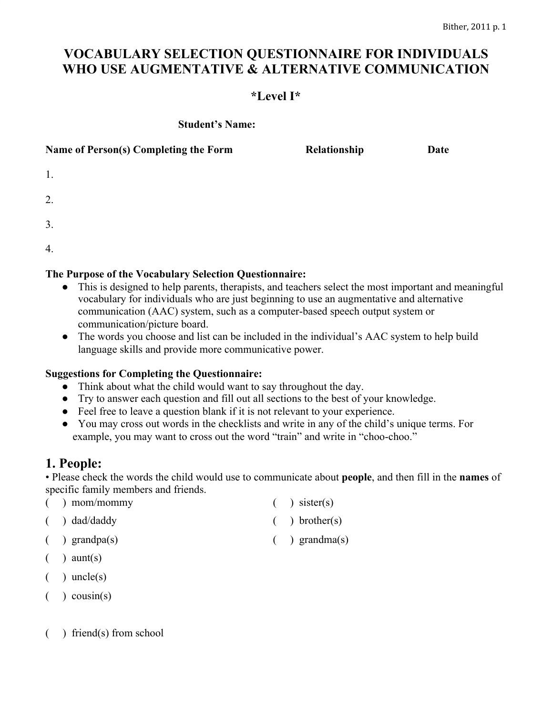# **VOCABULARY SELECTION QUESTIONNAIRE FOR INDIVIDUALS WHO USE AUGMENTATIVE & ALTERNATIVE COMMUNICATION**

# **\*Level I\***

#### **Student's Name:**

| Name of Person(s) Completing the Form | Relationship | Date |
|---------------------------------------|--------------|------|
| 1.                                    |              |      |
| 2.                                    |              |      |
| 3.                                    |              |      |
| 4.                                    |              |      |

#### **The Purpose of the Vocabulary Selection Questionnaire:**

- This is designed to help parents, therapists, and teachers select the most important and meaningful vocabulary for individuals who are just beginning to use an augmentative and alternative communication (AAC) system, such as a computer-based speech output system or communication/picture board.
- The words you choose and list can be included in the individual's AAC system to help build language skills and provide more communicative power.

#### **Suggestions for Completing the Questionnaire:**

- Think about what the child would want to say throughout the day.
- Try to answer each question and fill out all sections to the best of your knowledge.
- Feel free to leave a question blank if it is not relevant to your experience.
- You may cross out words in the checklists and write in any of the child's unique terms. For example, you may want to cross out the word "train" and write in "choo-choo."

# **1. People:**

• Please check the words the child would use to communicate about **people**, and then fill in the **names** of specific family members and friends.

| $($ ) mom/mommy                                  | $\left( \quad \right)$ sister(s)  |
|--------------------------------------------------|-----------------------------------|
| $\phi$ ) dad/daddy                               | $($ ) brother(s)                  |
| $\left( \quad \right)$ grandpa $\left( s\right)$ | $\left( \quad \right)$ grandma(s) |
| $\left( \quad \right)$ aunt(s)                   |                                   |

- $($  ) uncle(s)
- $($  ) cousin(s)
- ( ) friend(s) from school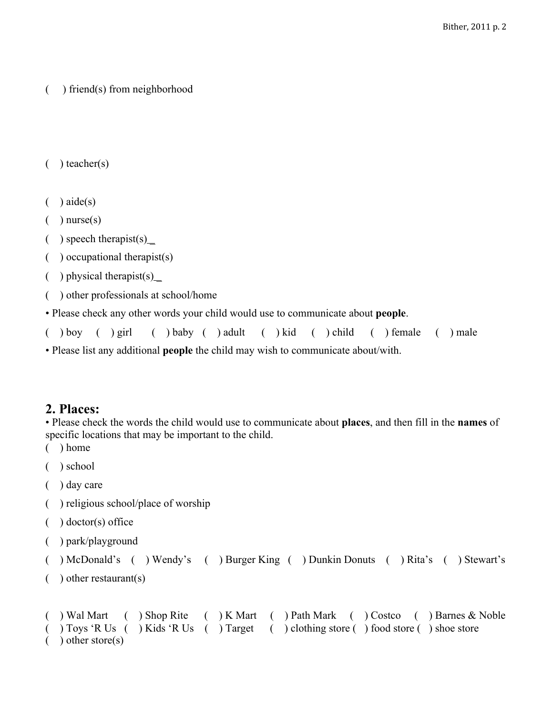```
( ) friend(s) from neighborhood
```

```
( ) teacher(s)
```
- $( )$  aide(s)
- $($ ) nurse $(s)$
- $($ ) speech therapist(s)  $\angle$
- ( ) occupational therapist(s)
- $($ ) physical therapist(s)  $\angle$
- ( ) other professionals at school/home

• Please check any other words your child would use to communicate about **people**.

|                                                                                   |  |  |  |  |  |  |  |  |  |  |  | ( ) boy ( ) girl ( ) baby ( ) adult ( ) kid ( ) child ( ) female ( ) male |  |  |
|-----------------------------------------------------------------------------------|--|--|--|--|--|--|--|--|--|--|--|---------------------------------------------------------------------------|--|--|
| • Please list any additional people the child may wish to communicate about/with. |  |  |  |  |  |  |  |  |  |  |  |                                                                           |  |  |

#### **2. Places:**

• Please check the words the child would use to communicate about **places**, and then fill in the **names** of specific locations that may be important to the child.

( ) home

```
( ) school
```
- ( ) day care
- ( ) religious school/place of worship
- ( ) doctor(s) office
- ( ) park/playground

```
( ) McDonald's ( ) Wendy's ( ) Burger King ( ) Dunkin Donuts ( ) Rita's ( ) Stewart's
```
( ) other restaurant(s)

```
( ) Wal Mart ( ) Shop Rite ( ) K Mart ( ) Path Mark ( ) Costco ( ) Barnes & Noble
( ) Toys 'R Us ( ) Kids 'R Us ( ) Target ( ) clothing store ( ) food store ( ) shoe store
  ) other store(s)
```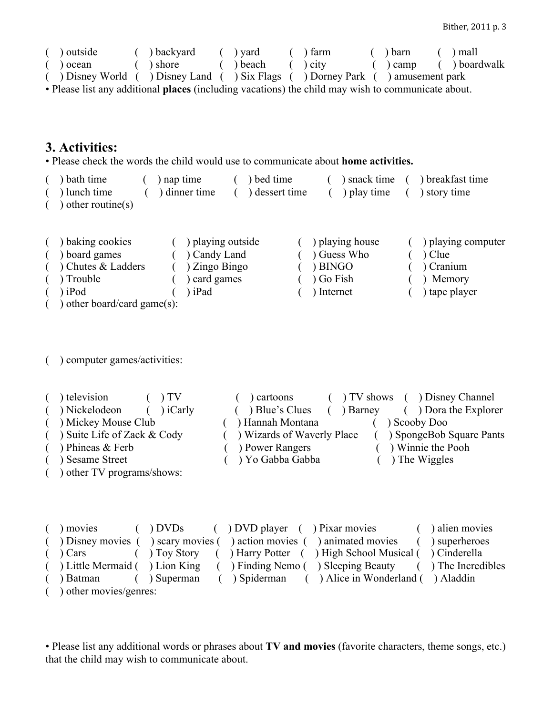| outside                                                                                           |  | backyard |  | $($ ) vard |  | ) farm       |  | ) barn     |  | ) mall        |
|---------------------------------------------------------------------------------------------------|--|----------|--|------------|--|--------------|--|------------|--|---------------|
| ) ocean                                                                                           |  | shore >  |  | ) beach    |  | $($ $)$ city |  | $($ ) camp |  | ( ) boardwalk |
| Disney World ( ) Disney Land ( ) Six Flags ( ) Dorney Park ( ) amusement park                     |  |          |  |            |  |              |  |            |  |               |
| . Dlease list any additional places (including yeartions) the child may wish to communicate shout |  |          |  |            |  |              |  |            |  |               |

• Please list any additional **places** (including vacations) the child may wish to communicate about.

# **3. Activities:**

• Please check the words the child would use to communicate about **home activities.**

- ( ) bath time ( ) nap time ( ) bed time ( ) snack time ( ) breakfast time ( ) lunch time ( ) dinner time ( ) dessert time ( ) play time ( ) story time  $($ ) other routine(s)
- ( ) baking cookies ( ) playing outside ( ) playing house ( ) playing computer ( ) board games ( ) Candy Land ( ) Guess Who ( ) Clue ( ) Chutes & Ladders ( ) Zingo Bingo ( ) BINGO ( ) Cranium ( ) Trouble ( ) card games ( ) Go Fish ( ) Memory ( ) iPod ( ) iPad ( ) Internet ( ) tape player ) other board/card game $(s)$ :

#### ( ) computer games/activities:

( ) television ( ) TV ( ) cartoons ( ) TV shows ( ) Disney Channel ( ) Nickelodeon ( ) iCarly ( ) Blue's Clues ( ) Barney ( ) Dora the Explorer ( ) Mickey Mouse Club ( ) Hannah Montana ( ) Scooby Doo ( ) Suite Life of Zack & Cody ( ) Wizards of Waverly Place ( ) SpongeBob Square Pants ( ) Phineas & Ferb ( ) Power Rangers ( ) Winnie the Pooh ( ) Sesame Street ( ) Yo Gabba Gabba ( ) The Wiggles ( ) other TV programs/shows:

|            | movies                 |                | $( )$ DVDs $( )$ DVD player $( )$ Pixar movies                                            | ( ) alien movies |
|------------|------------------------|----------------|-------------------------------------------------------------------------------------------|------------------|
| $\sqrt{2}$ |                        |                | ) Disney movies () scary movies () action movies () animated movies                       | ( ) superheroes  |
|            | $(\ )$ Cars            |                | () Toy Story () Harry Potter () High School Musical () Cinderella                         |                  |
|            |                        |                | (b) Little Mermaid (b) Lion King (c) Finding Nemo (b) Sleeping Beauty (c) The Incredibles |                  |
|            | ) Batman               | $($ ) Superman | ) Spiderman ( ) Alice in Wonderland ( ) Aladdin                                           |                  |
|            | ) other movies/genres: |                |                                                                                           |                  |

• Please list any additional words or phrases about **TV and movies** (favorite characters, theme songs, etc.) that the child may wish to communicate about.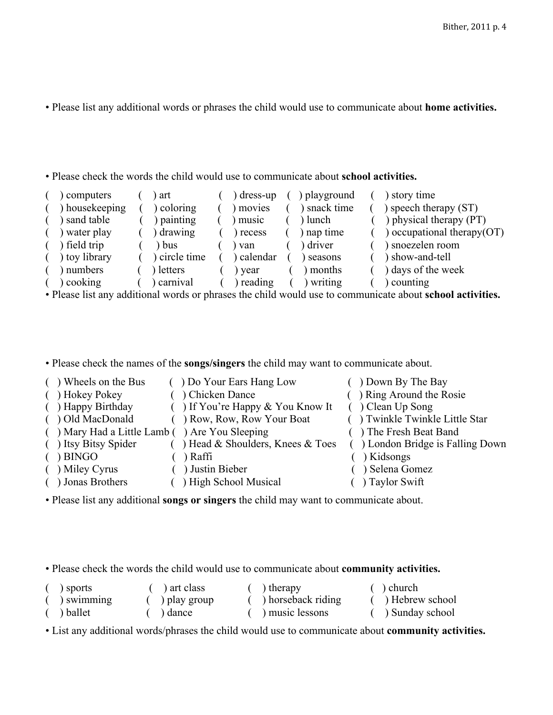• Please list any additional words or phrases the child would use to communicate about **home activities.**

• Please check the words the child would use to communicate about **school activities.**

| computers    |   | art         | dress-up       | playground | story time                    |
|--------------|---|-------------|----------------|------------|-------------------------------|
| housekeeping |   | coloring    | movies         | snack time | ) speech therapy $(ST)$       |
| sand table   |   | painting    | music          | lunch      | ) physical therapy (PT)       |
| water play   |   | drawing     | recess         | nap time   | ) occupational therapy $(OT)$ |
| field trip   |   | bus         | van            | driver     | ) snoezelen room              |
| toy library  |   | circle time | calendar       | seasons    | ) show-and-tell               |
| numbers      |   | letters     | year           | months     | ) days of the week            |
| cooking      |   | carnival    | ereding        | writing    | counting                      |
|              | . |             | $-1$ $-1$ $-1$ |            |                               |

• Please list any additional words or phrases the child would use to communicate about **school activities.**

• Please check the names of the **songs/singers** the child may want to communicate about.

| () Wheels on the Bus                          | () Do Your Ears Hang Low             | ( ) Down By The Bay               |
|-----------------------------------------------|--------------------------------------|-----------------------------------|
| ( ) Hokey Pokey                               | ( ) Chicken Dance                    | () Ring Around the Rosie          |
| ( ) Happy Birthday                            | $( )$ If You're Happy & You Know It  | $()$ Clean Up Song                |
| ( ) Old MacDonald                             | () Row, Row, Row Your Boat           | () Twinkle Twinkle Little Star    |
| () Mary Had a Little Lamb () Are You Sleeping |                                      | () The Fresh Beat Band            |
| ( ) Itsy Bitsy Spider                         | $($ ) Head & Shoulders, Knees & Toes | ( ) London Bridge is Falling Down |
| $( )$ BINGO                                   | ) Raffi                              | ) Kidsongs                        |
| ( ) Miley Cyrus                               | ( ) Justin Bieber                    | Selena Gomez                      |
| ( ) Jonas Brothers                            | High School Musical                  | $( )$ Taylor Swift                |

• Please list any additional **songs or singers** the child may want to communicate about.

• Please check the words the child would use to communicate about **community activities.**

| sports          | art class    | ) therapy          | ) church          |
|-----------------|--------------|--------------------|-------------------|
| $\sum$ swimming | ) play group | ) horseback riding | ( ) Hebrew school |
| ballet          | dance        | music lessons      | Sunday school     |

• List any additional words/phrases the child would use to communicate about **community activities.**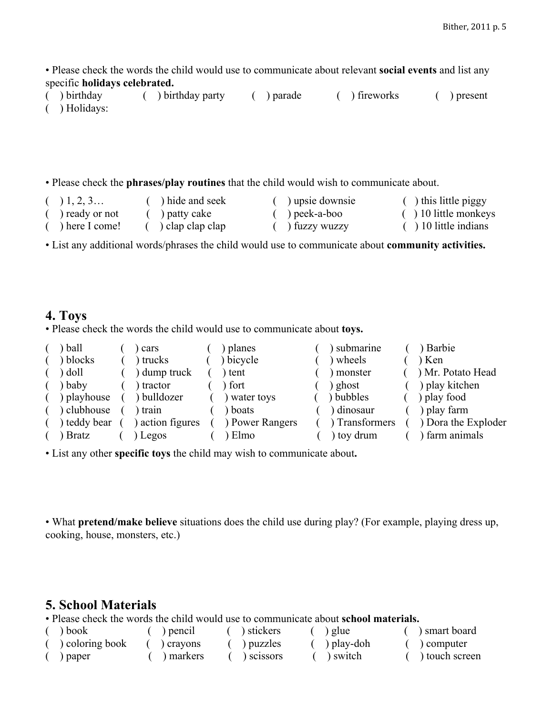• Please check the words the child would use to communicate about relevant **social events** and list any specific **holidays celebrated.**<br>( ) birthday ( ) bir

( ) birthday party ( ) parade ( ) fireworks ( ) present ( ) Holidays:

• Please check the **phrases/play routines** that the child would wish to communicate about.

| (1, 2, 3       | hide and seek    | s que downsie | $($ ) this little piggy |
|----------------|------------------|---------------|-------------------------|
| ) ready or not | ) patty cake     | ) peek-a-boo  | $( ) 10$ little monkeys |
| ) here I come! | ) clap clap clap | ) fuzzy wuzzy | $( ) 10$ little indians |

• List any additional words/phrases the child would use to communicate about **community activities.**

### **4. Toys**

• Please check the words the child would use to communicate about **toys.**

| ball         | cars             | planes          | submarine      | ) Barbie            |
|--------------|------------------|-----------------|----------------|---------------------|
| ) blocks     | trucks           | ) bicycle       | wheels         | ) Ken               |
| ) doll       | ) dump truck     | tent            | monster        | ) Mr. Potato Head   |
| baby         | tractor          | ) fort          | ghost          | ) play kitchen      |
| ) playhouse  | bulldozer        | ) water toys    | ) bubbles      | ) play food         |
| ) clubhouse  | train            | boats           | ) dinosaur     | ) play farm         |
| ) teddy bear | ) action figures | ) Power Rangers | ) Transformers | ) Dora the Exploder |
| ) Bratz      | ) Legos          | Elmo            | ) toy drum     | farm animals        |

• List any other **specific toys** the child may wish to communicate about**.**

• What **pretend/make believe** situations does the child use during play? (For example, playing dress up, cooking, house, monsters, etc.)

# **5. School Materials**

• Please check the words the child would use to communicate about **school materials.**

| book            | ) pencil | stickers  | ) glue     | ) smart board  |
|-----------------|----------|-----------|------------|----------------|
| ) coloring book | crayons  | ) puzzles | ) play-doh | computer (     |
| paper           | markers  | scissors  | switch     | ) touch screen |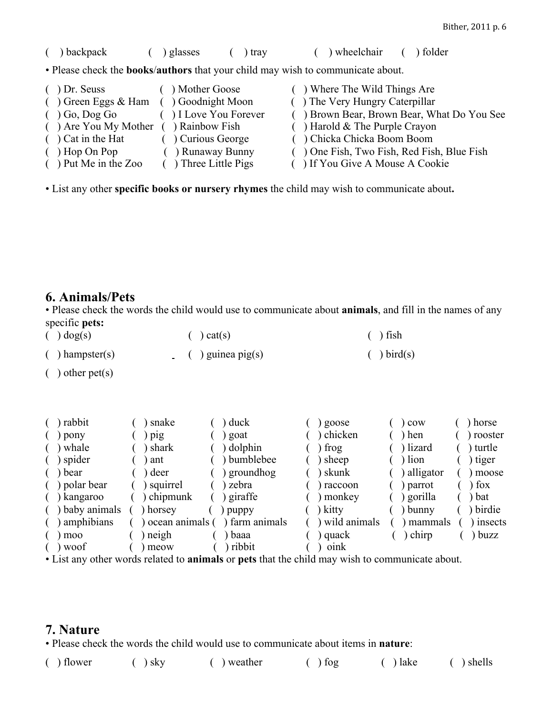( ) backpack ( ) glasses ( ) tray ( ) wheelchair ( ) folder • Please check the **books**/**authors** that your child may wish to communicate about. ( ) Dr. Seuss ( ) Mother Goose ( ) Where The Wild Things Are ( ) Green Eggs & Ham ( ) Goodnight Moon ( ) The Very Hungry Caterpillar ( ) Go, Dog Go ( ) I Love You Forever ( ) Brown Bear, Brown Bear, What Do You See ( ) Are You My Mother ( ) Rainbow Fish ( ) Harold & The Purple Crayon ( ) Cat in the Hat ( ) Curious George ( ) Chicka Chicka Boom Boom ( ) Hop On Pop ( ) Runaway Bunny ( ) One Fish, Two Fish, Red Fish, Blue Fish ( ) Put Me in the Zoo ( ) Three Little Pigs ( ) If You Give A Mouse A Cookie

• List any other **specific books or nursery rhymes** the child may wish to communicate about**.**

# **6. Animals/Pets**

• Please check the words the child would use to communicate about **animals**, and fill in the names of any specific **pets:**

| $\int$ dog(s)     | $\left( \quad \right)$ cat(s) | $( )$ fish     |
|-------------------|-------------------------------|----------------|
| $( )$ hampster(s) | $( )$ guinea pig(s)           | $\int$ bird(s) |

 $( )$  other pet $(s)$ 

| rabbit           | snake           | duck           | goose        | cow       | horse        |
|------------------|-----------------|----------------|--------------|-----------|--------------|
| pony             | pig             | goat           | ) chicken    | hen       | ) rooster    |
| whale            | shark           | dolphin        | frog         | lizard    | ) turtle     |
| $( )$ spider     | ant             | ) bumblebee    | sheep        | lion      | ) tiger      |
| ) bear           | deer            | groundhog      | skunk        | alligator | moose        |
| $($ ) polar bear | squirrel        | zebra          | ) raccoon    | parrot    | $\int$ fox   |
| kangaroo         | chipmunk        | giraffe        | ) monkey     | gorilla   | $\alpha$ bat |
| ) baby animals   | horsey          | puppy          | kitty        | bunny     | ) birdie     |
| amphibians       | ocean animals ( | ) farm animals | wild animals | mammals   | insects      |
| moo              | neigh           | baaa           | quack        | chirp     | buzz         |
| ) woof           | meow            | ribbit         | oink         |           |              |

• List any other words related to **animals** or **pets** that the child may wish to communicate about.

#### **7. Nature**

• Please check the words the child would use to communicate about items in **nature**:

| $( )$ flower | $( )$ sky | $($ ) weather | $( )$ fog | $( )$ lake | $( )$ shells |
|--------------|-----------|---------------|-----------|------------|--------------|
|--------------|-----------|---------------|-----------|------------|--------------|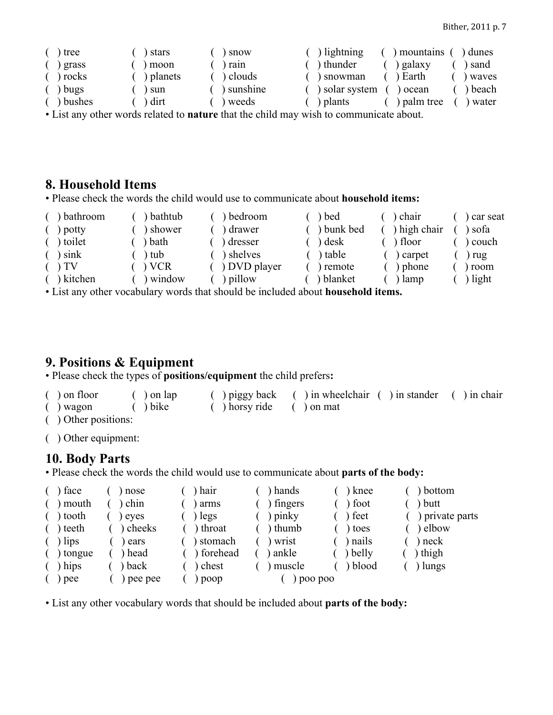| tree    | ) stars     | ) snow                | ) lightning  | mountains   | dunes   |
|---------|-------------|-----------------------|--------------|-------------|---------|
| grass   | ) moon      | rain                  | ) thunder    | ) galaxy    | sand    |
| ) rocks | ) planets   | ) clouds              | ) snowman    | ) Earth     | waves   |
| bugs    | ) sun       | ) sunshine            | solar system | ocean       | ) beach |
| bushes  | $\int$ dirt | ) weeds               | plants       | ) palm tree | ) water |
|         |             | $\sqrt{1}$ $\sqrt{1}$ |              |             |         |

• List any other words related to **nature** that the child may wish to communicate about.

# **8. Household Items**

• Please check the words the child would use to communicate about **household items:**

| ) bathroom      | bathtub | ) bedroom                                                                                                      | ) bed           | ) chair      | car seat     |
|-----------------|---------|----------------------------------------------------------------------------------------------------------------|-----------------|--------------|--------------|
| potty           | shower  | ) drawer                                                                                                       | ) bunk bed      | ) high chair | \ sofa       |
| ) toilet        | ) bath  | ) dresser                                                                                                      | $\alpha$ desk   | ) floor      | ) couch      |
| $\sin k$        | tub     | ) shelves                                                                                                      | $\lambda$ table | ) carpet     | ) rug        |
| $($ $\sqrt{IV}$ | VCR     | ) DVD player                                                                                                   | ) remote        | ) phone      | ) room       |
| ) kitchen       | window  | ) pillow                                                                                                       | ) blanket       | lamp         | $\int$ light |
|                 |         | te Toing and aghain are a charle may be adapted aloned different distributions of the constitution of the cons |                 |              |              |

• List any other vocabulary words that should be included about **household items.**

# **9. Positions & Equipment**

• Please check the types of **positions/equipment** the child prefers**:**

| $( )$ on floor         | $($ $)$ on lap              |                                                                                                               | () piggy back () in wheelchair () in stander () in chair |  |
|------------------------|-----------------------------|---------------------------------------------------------------------------------------------------------------|----------------------------------------------------------|--|
| $($ ) wagon            | $\left( \quad \right)$ bike | $\left( \begin{array}{c} \end{array} \right)$ horsy ride $\left( \begin{array}{c} \end{array} \right)$ on mat |                                                          |  |
| $( )$ Other positions: |                             |                                                                                                               |                                                          |  |

( ) Other equipment:

# **10. Body Parts**

• Please check the words the child would use to communicate about **parts of the body:**

| face    | nose    | hair       | ) hands          | ) knee | bottom          |
|---------|---------|------------|------------------|--------|-----------------|
| mouth   | chin    | arms       | fingers          | foot   | butt            |
| tooth   | eves    | legs       | $\gamma$ ) pinky | feet   | ) private parts |
| ) teeth | cheeks  | throat     | ) thumb          | ) toes | elbow           |
| lips    | ears    | stomach    | ) wrist          | nails  | neck            |
| tongue  | ) head  | ) forehead | ankle            | belly  | thigh           |
| hips    | back    | chest      | muscle           | blood  | lungs           |
| pee     | pee pee | poop       | poo poo          |        |                 |

• List any other vocabulary words that should be included about **parts of the body:**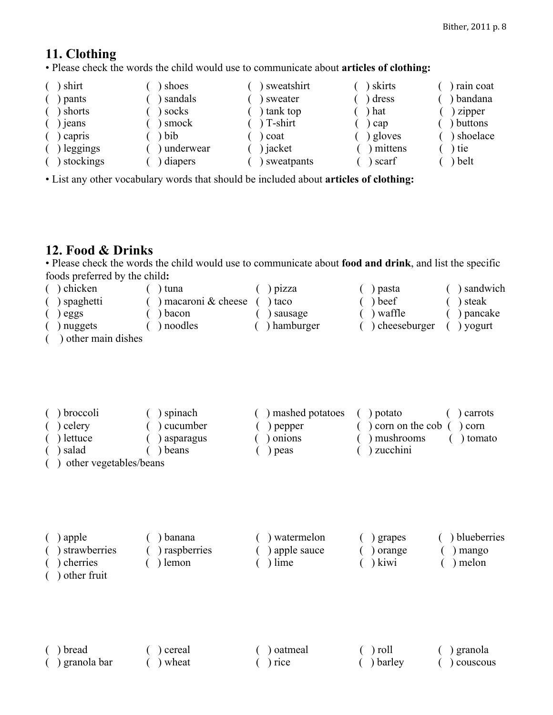# **11. Clothing**

• Please check the words the child would use to communicate about **articles of clothing:**

| shirt     | shoes     | ) sweatshirt | skirts  | rain coat |
|-----------|-----------|--------------|---------|-----------|
| pants     | sandals   | sweater      | dress   | bandana   |
| shorts    | socks     | tank top     | ) hat   | zipper    |
| jeans     | smock     | $T$ -shirt   | cap     | buttons   |
| capris    | bib       | coat         | gloves  | shoelace  |
| leggings  | underwear | ) jacket     | mittens | ) tie     |
| stockings | diapers   | sweatpants   | scarf   | ) belt    |

• List any other vocabulary words that should be included about **articles of clothing:**

# **12. Food & Drinks**

• Please check the words the child would use to communicate about **food and drink**, and list the specific foods preferred by the child**:**

| $\alpha$ chicken          | ) tuna                | $\big)$ pizza | ) pasta        | ) sandwich |
|---------------------------|-----------------------|---------------|----------------|------------|
| ) spaghetti               | ) macaroni $&$ cheese | ) taco        | ) beef         | ) steak    |
| eggs                      | ) bacon               | ) sausage     | ) waffle       | ) pancake  |
| ) nuggets                 | ) noodles             | ) hamburger   | ) cheeseburger | ) yogurt   |
| $\sqrt{1}$ and $\sqrt{1}$ |                       |               |                |            |

( ) other main dishes

| ) broccoli             | ) spinach   | ) mashed potatoes | ) potato<br>carrots             |
|------------------------|-------------|-------------------|---------------------------------|
| ) celery               | ) cucumber  | ) pepper          | ) corn on the cob $($<br>) corn |
| ) lettuce              | ) asparagus | ) onions          | mushrooms<br>) tomato           |
| salad                  | ) beans     | ) peas            | ) zucchini                      |
| other vegetables/beans |             |                   |                                 |

| apple<br>strawberries | ) banana<br>) raspberries | ) watermelon              | ) grapes           | ) blueberries  |
|-----------------------|---------------------------|---------------------------|--------------------|----------------|
| cherries              | ) lemon                   | ) apple sauce<br>$)$ lime | ) orange<br>) kiwi | mango<br>melon |
| $\lambda$ other fruit |                           |                           |                    |                |

|  | J vulye teht |  |
|--|--------------|--|
|  |              |  |
|  |              |  |

| $( )$ bread                                                                                                                                                                                                                   | ( ) cereal | () oatmeal | $\left( \quad \right)$ roll | $($ ) granola  |
|-------------------------------------------------------------------------------------------------------------------------------------------------------------------------------------------------------------------------------|------------|------------|-----------------------------|----------------|
| Comparence in the parameter in the set of the set of the set of the set of the set of the set of the set of the set of the set of the set of the set of the set of the set of the set of the set of the set of the set of the | wheat      | $( )$ rice | $( )$ barley                | $($ ) couscous |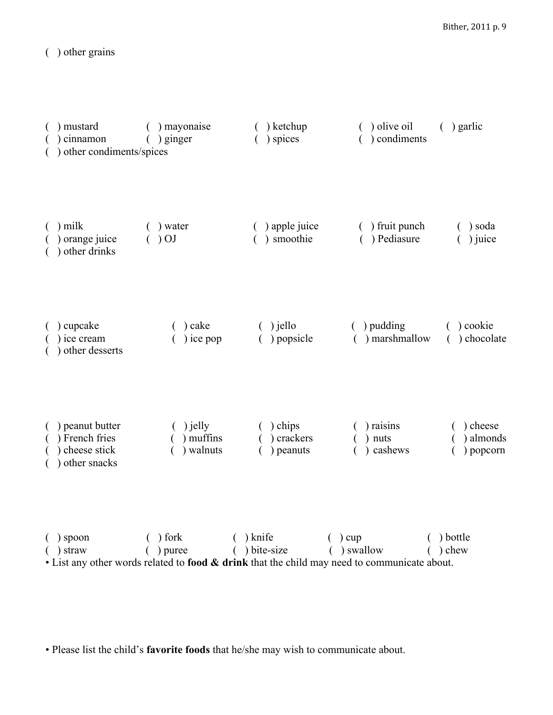( ) other grains

| ) mustard<br>) cinnamon<br>) other condiments/spices            | () mayonaise<br>) ginger             | ) ketchup<br>) spices                  | ) olive oil<br>) condiments                                                                                                | $($ ) garlic                       |
|-----------------------------------------------------------------|--------------------------------------|----------------------------------------|----------------------------------------------------------------------------------------------------------------------------|------------------------------------|
| $( )$ milk<br>orange juice<br>other drinks                      | $($ ) water<br>$\left( 0.000\right)$ | ) apple juice<br>) smoothie            | () fruit punch<br>) Pediasure<br>$\left($                                                                                  | ) soda<br>) juice                  |
| $($ ) cupcake<br>) ice cream<br>other desserts                  | ) cake<br>) ice pop                  | $()$ jello<br>() popsicle              | $( )$ pudding<br>) marshmallow                                                                                             | ) cookie<br>) chocolate            |
| ) peanut butter<br>French fries<br>cheese stick<br>other snacks | $()$ jelly<br>) muffins<br>) walnuts | $( )$ chips<br>) crackers<br>) peanuts | ) raisins<br>nuts<br>cashews                                                                                               | ) cheese<br>) almonds<br>) popcorn |
| $( )$ spoon<br>$( )$ straw                                      | $( )$ fork<br>$( )$ puree            | $( )$ knife<br>$()$ bite-size          | $( )$ cup<br>$( )$ swallow<br>• List any other words related to food & drink that the child may need to communicate about. | ( ) bottle<br>$( )$ chew           |

• Please list the child's **favorite foods** that he/she may wish to communicate about.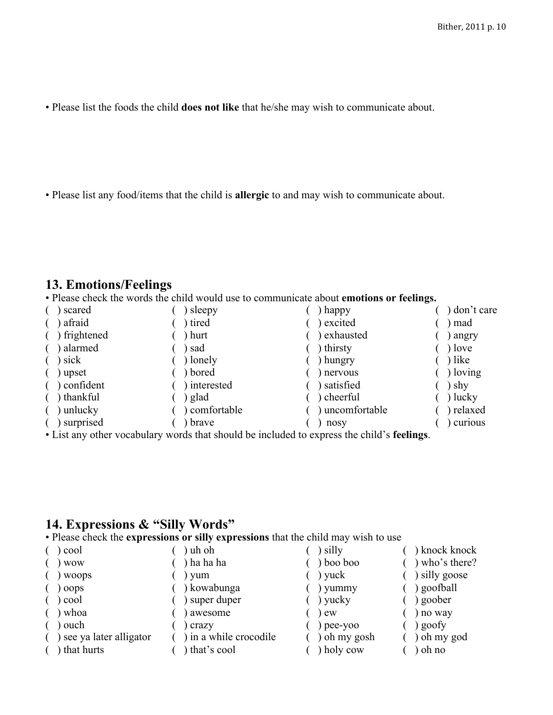• Please list the foods the child **does not like** that he/she may wish to communicate about.

• Please list any food/items that the child is **allergic** to and may wish to communicate about.

# **13. Emotions/Feelings**

• Please check the words the child would use to communicate about **emotions or feelings.**

| scared     | sleepy        | happy         | ) don't care  |
|------------|---------------|---------------|---------------|
| afraid     | ) tired       | excited       | ) mad         |
| frightened | ) hurt        | exhausted     | angry         |
| alarmed    | sad           | ) thirsty     | $)$ love      |
| sick       | ) lonely      | ) hungry      | ) like        |
| upset      | ) bored       | nervous       | $\int$ loving |
| confident  | interested    | satisfied     | shy           |
| thankful   | glad          | ) cheerful    | $\int$ lucky  |
| unlucky    | ) comfortable | uncomfortable | ) relaxed     |
| surprised  | brave         | nosy          | curious       |

• List any other vocabulary words that should be included to express the child's **feelings**.

### **14. Expressions & "Silly Words"**

• Please check the **expressions or silly expressions** that the child may wish to use

| cool                   | uh oh                  | silly        | ) knock knock  |
|------------------------|------------------------|--------------|----------------|
| <b>WOW</b>             | ha ha ha               | ) boo boo    | ) who's there? |
| woops                  | yum                    | $)$ yuck     | silly goose    |
| oops                   | ) kowabunga            | ) yummy      | goofball       |
| cool                   | super duper            | $)$ yucky    | goober         |
| ) whoa                 | awesome                | $)$ ew       | no way         |
| ouch                   | crazy                  | $)$ pee-yoo  | goofy          |
| see ya later alligator | ) in a while crocodile | ) oh my gosh | ) oh my god    |
| that hurts             | that's cool            | ) holy cow   | oh no          |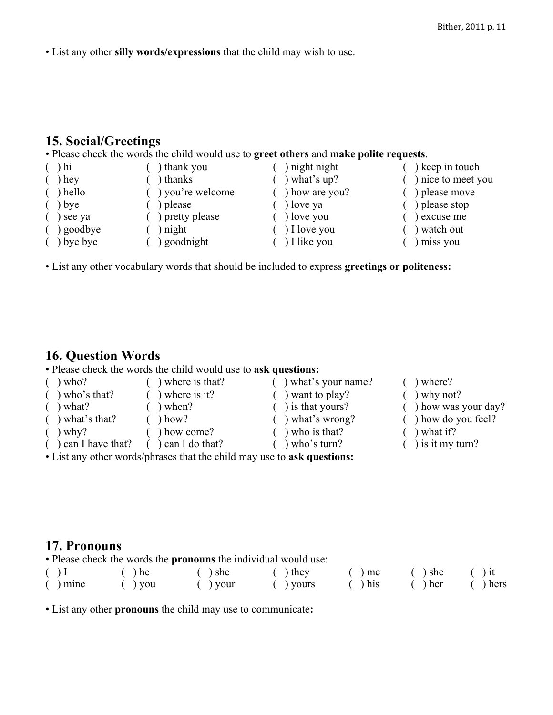• List any other **silly words/expressions** that the child may wish to use.

# **15. Social/Greetings**

#### • Please check the words the child would use to **greet others** and **make polite requests**.

| $\lambda$ hi | thank you        | night night    | keep in touch      |
|--------------|------------------|----------------|--------------------|
| hey          | ) thanks         | what's up?     | ) nice to meet you |
| ) hello      | ) you're welcome | ) how are you? | ) please move      |
| $j$ bye      | please           | love ya        | ) please stop      |
| see ya       | ) pretty please  | ) love you     | ) excuse me        |
| ) goodbye    | ) night          | ) I love you   | watch out          |
| ) bye bye    | goodnight        | ) I like you   | miss you           |

• List any other vocabulary words that should be included to express **greetings or politeness:**

# **16. Question Words**

• Please check the words the child would use to **ask questions:**

| who?                               | ) where is that?      | what's your name?         | $)$ where?              |
|------------------------------------|-----------------------|---------------------------|-------------------------|
| $\left( \quad \right)$ who's that? | ) where is it?        | want to play?             | ) why not?              |
| ) what?                            | ) when?               | ) is that yours?          | ) how was your day?     |
| $( )$ what's that?                 | ) how?                | what's wrong?             | $($ ) how do you feel?  |
| $\left( \quad \right)$ why?        | how come?             | $\int$ who is that?       | ) what if?              |
| $( )$ can I have that?             | $\int$ can I do that? | $\rightarrow$ who's turn? | $\int$ ) is it my turn? |
|                                    |                       |                           |                         |

• List any other words/phrases that the child may use to **ask questions:**

### **17. Pronouns**

• Please check the words the **pronouns** the individual would use:

| $( )$ I    | $()$ he   | $( )$ she                   | $( )$ they                   | $()$ me      | $( )$ she | $()$ it   |
|------------|-----------|-----------------------------|------------------------------|--------------|-----------|-----------|
| $( )$ mine | $($ ) you | $\left( \quad \right)$ your | $\left( \quad \right)$ yours | $\int$ ) his | $()$ her  | $()$ hers |

• List any other **pronouns** the child may use to communicate**:**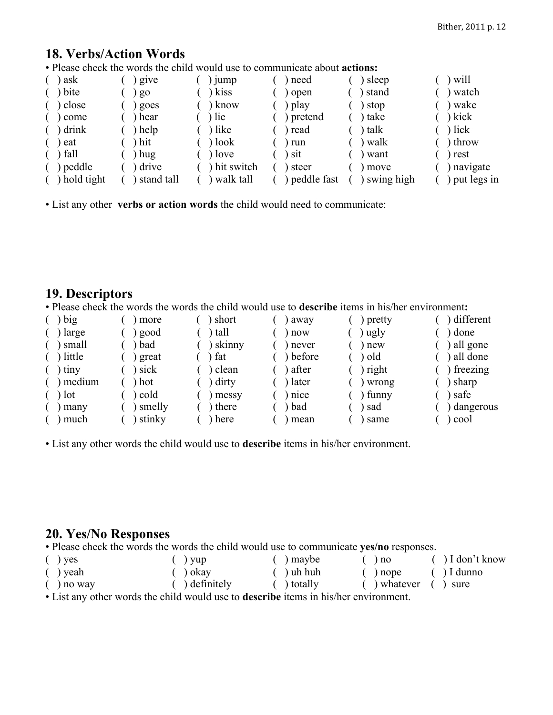# **18. Verbs/Action Words**

• Please check the words the child would use to communicate about **actions:**

| ask        | give           | <sub>1</sub> ump | need          | sleep      | will        |
|------------|----------------|------------------|---------------|------------|-------------|
| bite       | g <sub>o</sub> | kiss             | ) open        | stand      | watch       |
| close      | goes           | know             | ) play        | stop       | wake        |
| come       | hear           | ) lie            | ) pretend     | take       | kick        |
| drink      | help           | ) like           | ) read        | talk       | lick        |
| eat        | hit            | ) look           | ) run         | walk       | throw       |
| ) fall     | hug            | $)$ love         | $\sum$ sit    | want       | rest        |
| peddle     | drive          | ) hit switch     | ) steer       | move       | navigate    |
| hold tight | stand tall     | walk tall        | ) peddle fast | swing high | put legs in |

• List any other **verbs or action words** the child would need to communicate:

### **19. Descriptors**

• Please check the words the words the child would use to **describe** items in his/her environment**:**

| big    | more   | short  | away   | pretty | different  |
|--------|--------|--------|--------|--------|------------|
| large  | good   | tall   | now    | ugly   | done       |
| small  | bad    | skinny | never  | new    | ) all gone |
| little | great  | fat    | before | old    | ) all done |
| tiny   | sick   | clean  | after  | right  | freezing   |
| medium | hot    | dirty  | later  | wrong  | sharp      |
| lot    | cold   | messy  | nice   | funny  | safe       |
| many   | smelly | there  | bad    | sad    | dangerous  |
| much   | stinky | here   | mean   | same   | cool       |

• List any other words the child would use to **describe** items in his/her environment.

# **20. Yes/No Responses**

• Please check the words the words the child would use to communicate **yes/no** responses.

| $(y)$ yes                                                                         | $\left( \quad \right)$ yup | $( )$ maybe     | $($ $)$ no                                                  | $\int$ I don't know |  |  |  |
|-----------------------------------------------------------------------------------|----------------------------|-----------------|-------------------------------------------------------------|---------------------|--|--|--|
| $( )$ yeah                                                                        | $( )$ okay                 | $( )$ uh huh    | $($ $)$ nope                                                | $( )$ I dunno       |  |  |  |
| $\int$ no way                                                                     | $( )$ definitely           | $($ $)$ totally | $\left( \quad \right)$ whatever $\left( \quad \right)$ sure |                     |  |  |  |
| . I jot any other would the child would year to decently items in higher anyword. |                            |                 |                                                             |                     |  |  |  |

• List any other words the child would use to **describe** items in his/her environment.